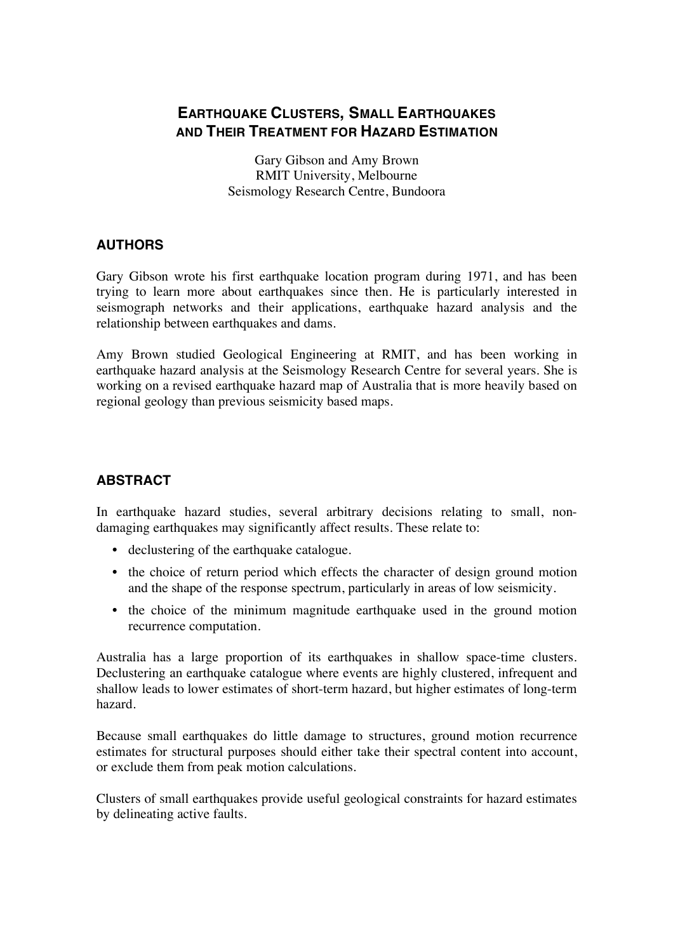## **EARTHQUAKE CLUSTERS, SMALL EARTHQUAKES AND THEIR TREATMENT FOR HAZARD ESTIMATION**

Gary Gibson and Amy Brown RMIT University, Melbourne Seismology Research Centre, Bundoora

## **AUTHORS**

Gary Gibson wrote his first earthquake location program during 1971, and has been trying to learn more about earthquakes since then. He is particularly interested in seismograph networks and their applications, earthquake hazard analysis and the relationship between earthquakes and dams.

Amy Brown studied Geological Engineering at RMIT, and has been working in earthquake hazard analysis at the Seismology Research Centre for several years. She is working on a revised earthquake hazard map of Australia that is more heavily based on regional geology than previous seismicity based maps.

## **ABSTRACT**

In earthquake hazard studies, several arbitrary decisions relating to small, nondamaging earthquakes may significantly affect results. These relate to:

- declustering of the earthquake catalogue.
- the choice of return period which effects the character of design ground motion and the shape of the response spectrum, particularly in areas of low seismicity.
- the choice of the minimum magnitude earthquake used in the ground motion recurrence computation.

Australia has a large proportion of its earthquakes in shallow space-time clusters. Declustering an earthquake catalogue where events are highly clustered, infrequent and shallow leads to lower estimates of short-term hazard, but higher estimates of long-term hazard.

Because small earthquakes do little damage to structures, ground motion recurrence estimates for structural purposes should either take their spectral content into account, or exclude them from peak motion calculations.

Clusters of small earthquakes provide useful geological constraints for hazard estimates by delineating active faults.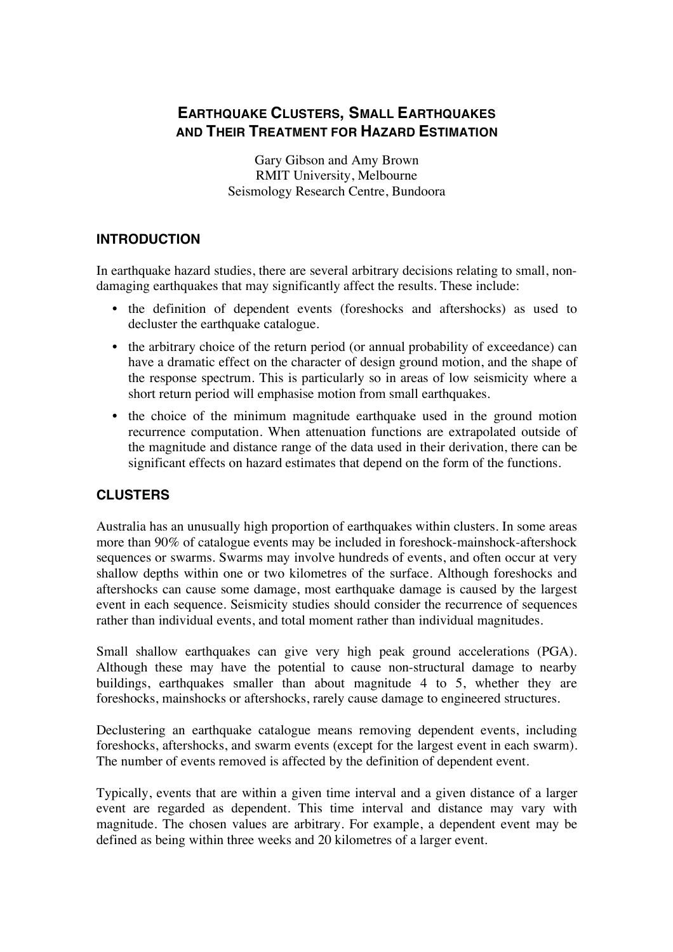# **EARTHQUAKE CLUSTERS, SMALL EARTHQUAKES AND THEIR TREATMENT FOR HAZARD ESTIMATION**

Gary Gibson and Amy Brown RMIT University, Melbourne Seismology Research Centre, Bundoora

#### **INTRODUCTION**

In earthquake hazard studies, there are several arbitrary decisions relating to small, nondamaging earthquakes that may significantly affect the results. These include:

- the definition of dependent events (foreshocks and aftershocks) as used to decluster the earthquake catalogue.
- the arbitrary choice of the return period (or annual probability of exceedance) can have a dramatic effect on the character of design ground motion, and the shape of the response spectrum. This is particularly so in areas of low seismicity where a short return period will emphasise motion from small earthquakes.
- the choice of the minimum magnitude earthquake used in the ground motion recurrence computation. When attenuation functions are extrapolated outside of the magnitude and distance range of the data used in their derivation, there can be significant effects on hazard estimates that depend on the form of the functions.

## **CLUSTERS**

Australia has an unusually high proportion of earthquakes within clusters. In some areas more than 90% of catalogue events may be included in foreshock-mainshock-aftershock sequences or swarms. Swarms may involve hundreds of events, and often occur at very shallow depths within one or two kilometres of the surface. Although foreshocks and aftershocks can cause some damage, most earthquake damage is caused by the largest event in each sequence. Seismicity studies should consider the recurrence of sequences rather than individual events, and total moment rather than individual magnitudes.

Small shallow earthquakes can give very high peak ground accelerations (PGA). Although these may have the potential to cause non-structural damage to nearby buildings, earthquakes smaller than about magnitude 4 to 5, whether they are foreshocks, mainshocks or aftershocks, rarely cause damage to engineered structures.

Declustering an earthquake catalogue means removing dependent events, including foreshocks, aftershocks, and swarm events (except for the largest event in each swarm). The number of events removed is affected by the definition of dependent event.

Typically, events that are within a given time interval and a given distance of a larger event are regarded as dependent. This time interval and distance may vary with magnitude. The chosen values are arbitrary. For example, a dependent event may be defined as being within three weeks and 20 kilometres of a larger event.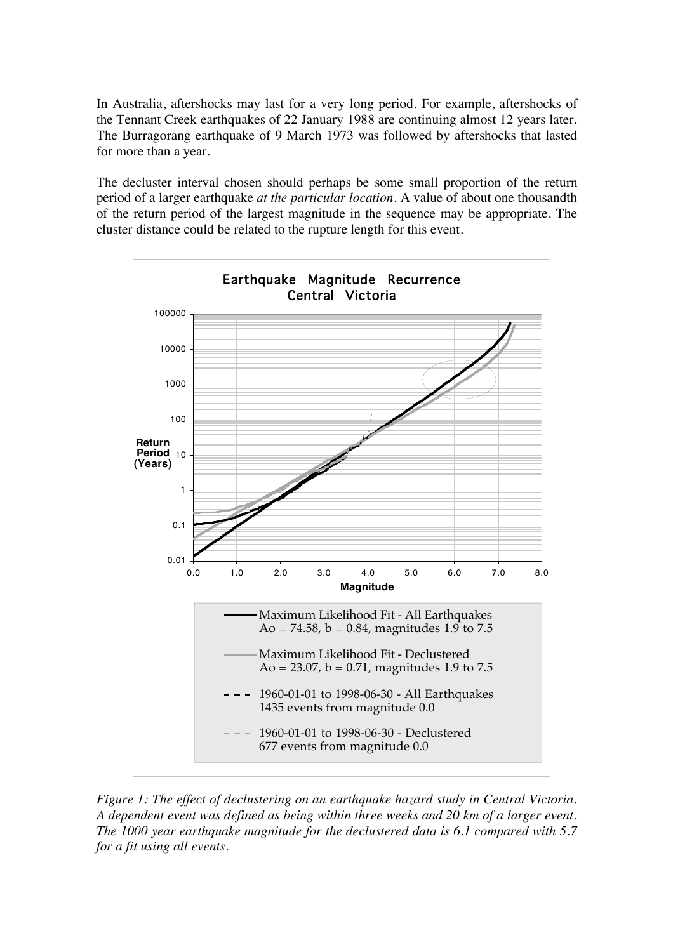In Australia, aftershocks may last for a very long period. For example, aftershocks of the Tennant Creek earthquakes of 22 January 1988 are continuing almost 12 years later. The Burragorang earthquake of 9 March 1973 was followed by aftershocks that lasted for more than a year.

The decluster interval chosen should perhaps be some small proportion of the return period of a larger earthquake *at the particular location*. A value of about one thousandth of the return period of the largest magnitude in the sequence may be appropriate. The cluster distance could be related to the rupture length for this event.



*Figure 1: The effect of declustering on an earthquake hazard study in Central Victoria. A dependent event was defined as being within three weeks and 20 km of a larger event. The 1000 year earthquake magnitude for the declustered data is 6.1 compared with 5.7 for a fit using all events.*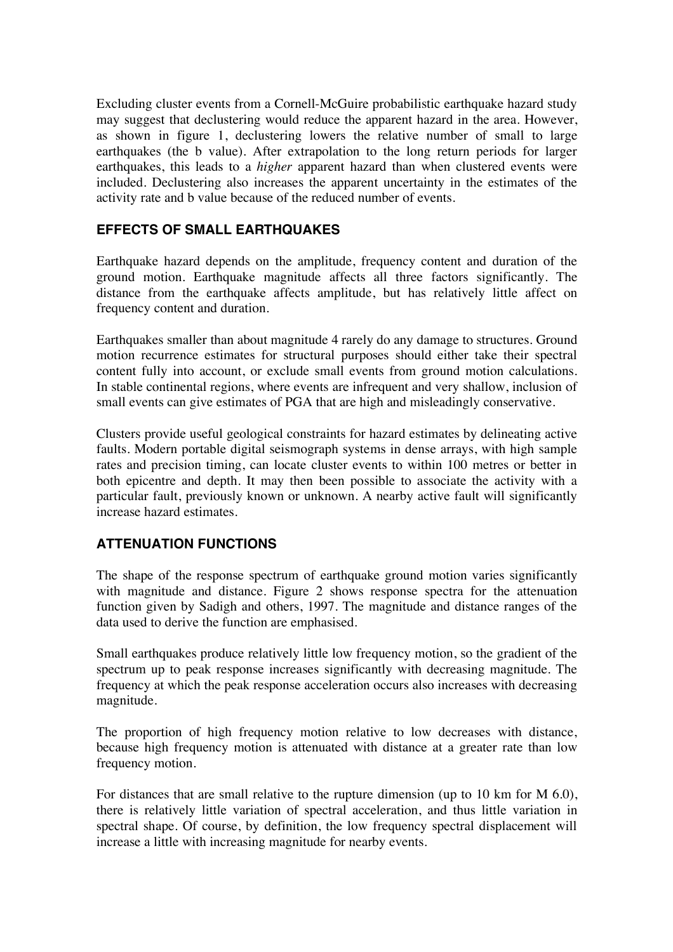Excluding cluster events from a Cornell-McGuire probabilistic earthquake hazard study may suggest that declustering would reduce the apparent hazard in the area. However, as shown in figure 1, declustering lowers the relative number of small to large earthquakes (the b value). After extrapolation to the long return periods for larger earthquakes, this leads to a *higher* apparent hazard than when clustered events were included. Declustering also increases the apparent uncertainty in the estimates of the activity rate and b value because of the reduced number of events.

## **EFFECTS OF SMALL EARTHQUAKES**

Earthquake hazard depends on the amplitude, frequency content and duration of the ground motion. Earthquake magnitude affects all three factors significantly. The distance from the earthquake affects amplitude, but has relatively little affect on frequency content and duration.

Earthquakes smaller than about magnitude 4 rarely do any damage to structures. Ground motion recurrence estimates for structural purposes should either take their spectral content fully into account, or exclude small events from ground motion calculations. In stable continental regions, where events are infrequent and very shallow, inclusion of small events can give estimates of PGA that are high and misleadingly conservative.

Clusters provide useful geological constraints for hazard estimates by delineating active faults. Modern portable digital seismograph systems in dense arrays, with high sample rates and precision timing, can locate cluster events to within 100 metres or better in both epicentre and depth. It may then been possible to associate the activity with a particular fault, previously known or unknown. A nearby active fault will significantly increase hazard estimates.

## **ATTENUATION FUNCTIONS**

The shape of the response spectrum of earthquake ground motion varies significantly with magnitude and distance. Figure 2 shows response spectra for the attenuation function given by Sadigh and others, 1997. The magnitude and distance ranges of the data used to derive the function are emphasised.

Small earthquakes produce relatively little low frequency motion, so the gradient of the spectrum up to peak response increases significantly with decreasing magnitude. The frequency at which the peak response acceleration occurs also increases with decreasing magnitude.

The proportion of high frequency motion relative to low decreases with distance, because high frequency motion is attenuated with distance at a greater rate than low frequency motion.

For distances that are small relative to the rupture dimension (up to 10 km for M 6.0), there is relatively little variation of spectral acceleration, and thus little variation in spectral shape. Of course, by definition, the low frequency spectral displacement will increase a little with increasing magnitude for nearby events.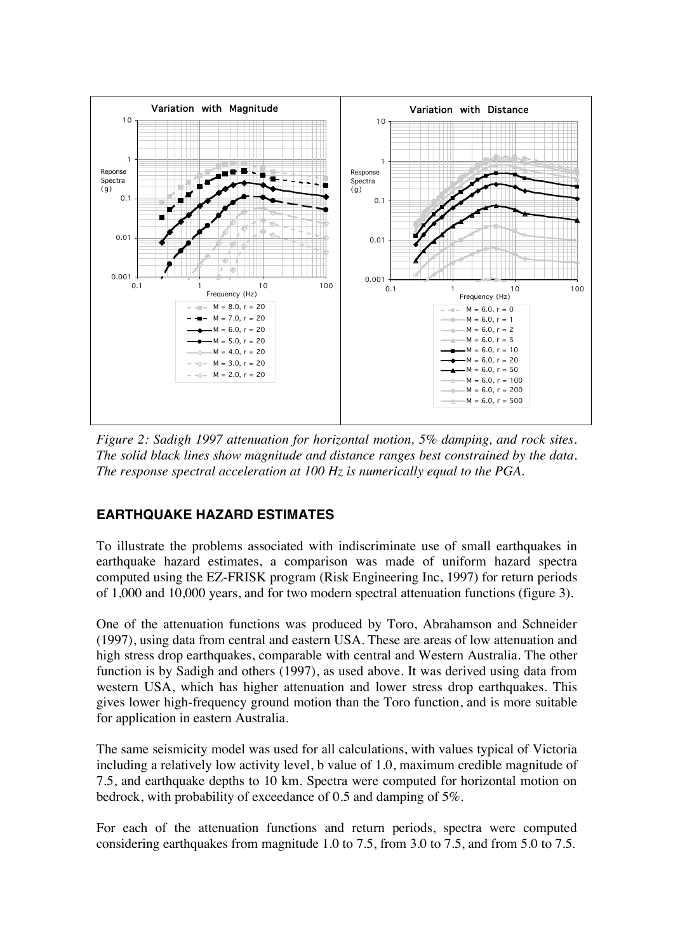

*Figure 2: Sadigh 1997 attenuation for horizontal motion, 5% damping, and rock sites. The solid black lines show magnitude and distance ranges best constrained by the data. The response spectral acceleration at 100 Hz is numerically equal to the PGA.*

#### **EARTHQUAKE HAZARD ESTIMATES**

To illustrate the problems associated with indiscriminate use of small earthquakes in earthquake hazard estimates, a comparison was made of uniform hazard spectra computed using the EZ-FRISK program (Risk Engineering Inc, 1997) for return periods of 1,000 and 10,000 years, and for two modern spectral attenuation functions (figure 3).

One of the attenuation functions was produced by Toro, Abrahamson and Schneider (1997), using data from central and eastern USA. These are areas of low attenuation and high stress drop earthquakes, comparable with central and Western Australia. The other function is by Sadigh and others (1997), as used above. It was derived using data from western USA, which has higher attenuation and lower stress drop earthquakes. This gives lower high-frequency ground motion than the Toro function, and is more suitable for application in eastern Australia.

The same seismicity model was used for all calculations, with values typical of Victoria including a relatively low activity level, b value of 1.0, maximum credible magnitude of 7.5, and earthquake depths to 10 km. Spectra were computed for horizontal motion on bedrock, with probability of exceedance of 0.5 and damping of 5%.

For each of the attenuation functions and return periods, spectra were computed considering earthquakes from magnitude 1.0 to 7.5, from 3.0 to 7.5, and from 5.0 to 7.5.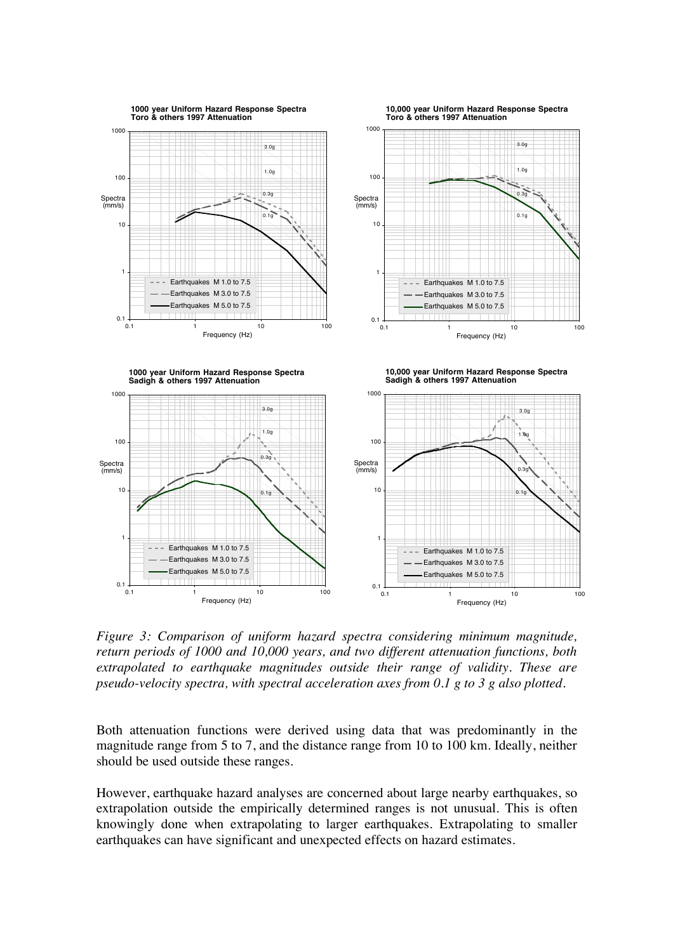

*Figure 3: Comparison of uniform hazard spectra considering minimum magnitude, return periods of 1000 and 10,000 years, and two different attenuation functions, both extrapolated to earthquake magnitudes outside their range of validity. These are pseudo-velocity spectra, with spectral acceleration axes from 0.1 g to 3 g also plotted.*

Both attenuation functions were derived using data that was predominantly in the magnitude range from 5 to 7, and the distance range from 10 to 100 km. Ideally, neither should be used outside these ranges.

However, earthquake hazard analyses are concerned about large nearby earthquakes, so extrapolation outside the empirically determined ranges is not unusual. This is often knowingly done when extrapolating to larger earthquakes. Extrapolating to smaller earthquakes can have significant and unexpected effects on hazard estimates.